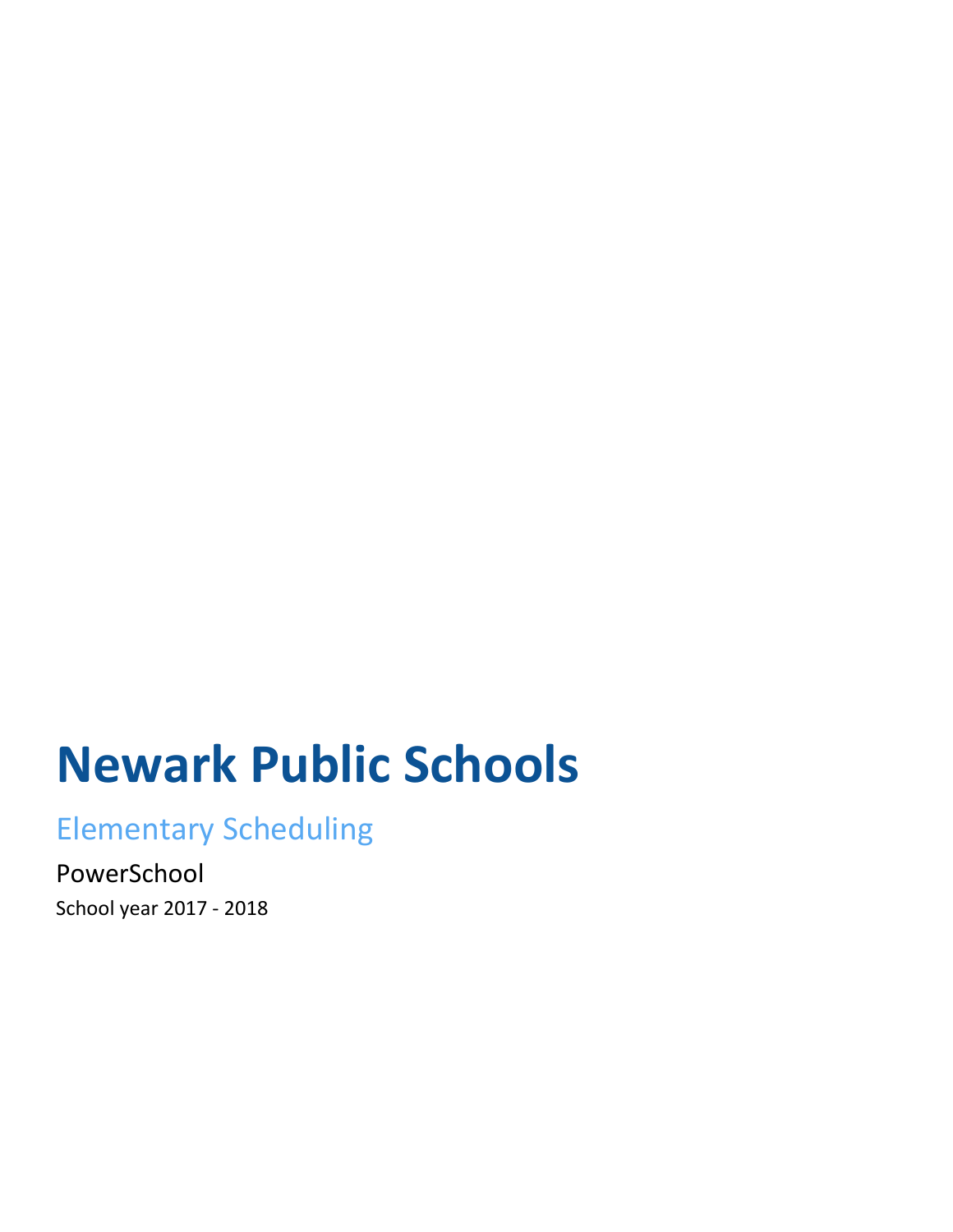## Elementary Scheduling

PowerSchool School year 2017 - 2018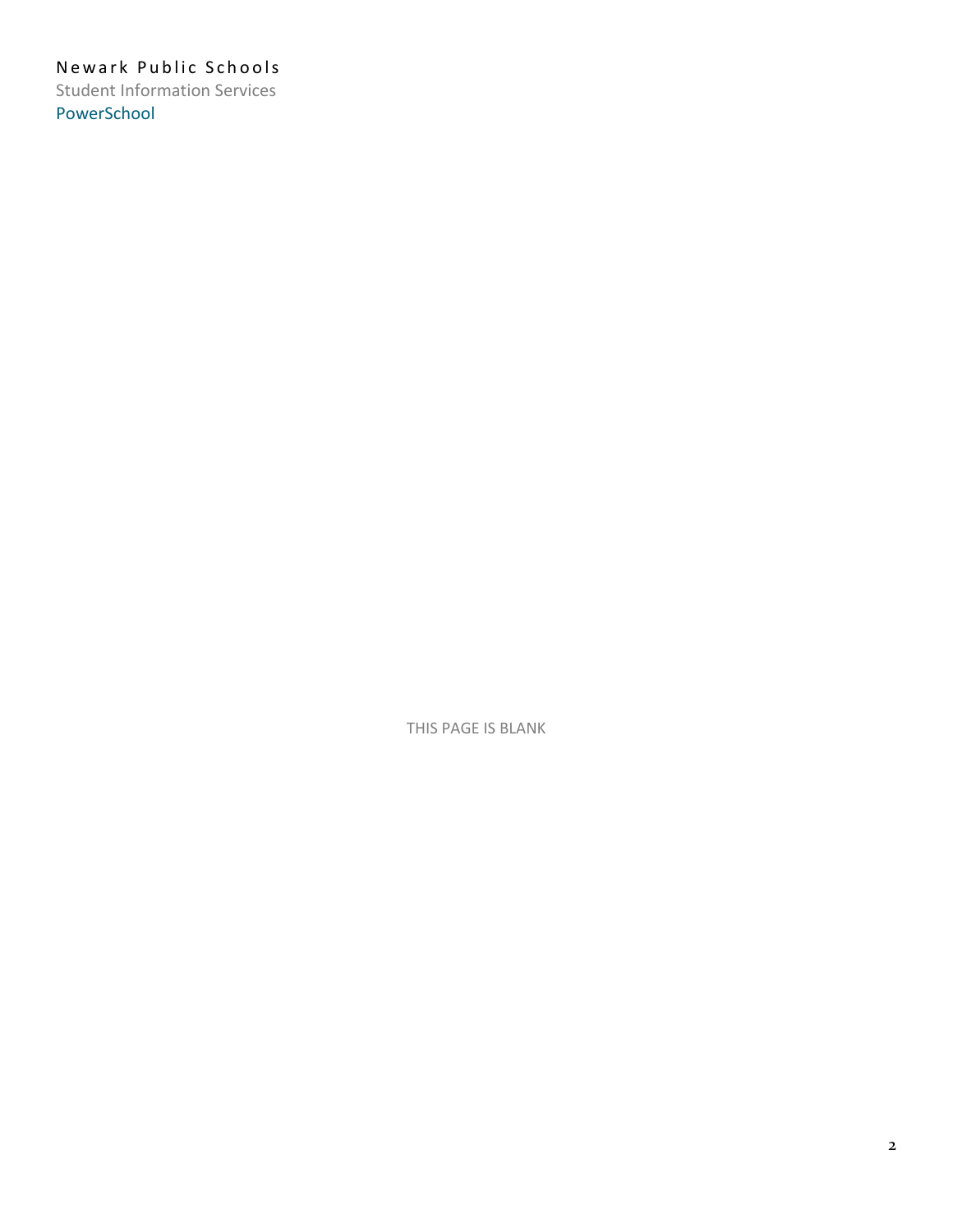Student Information Services PowerSchool

THIS PAGE IS BLANK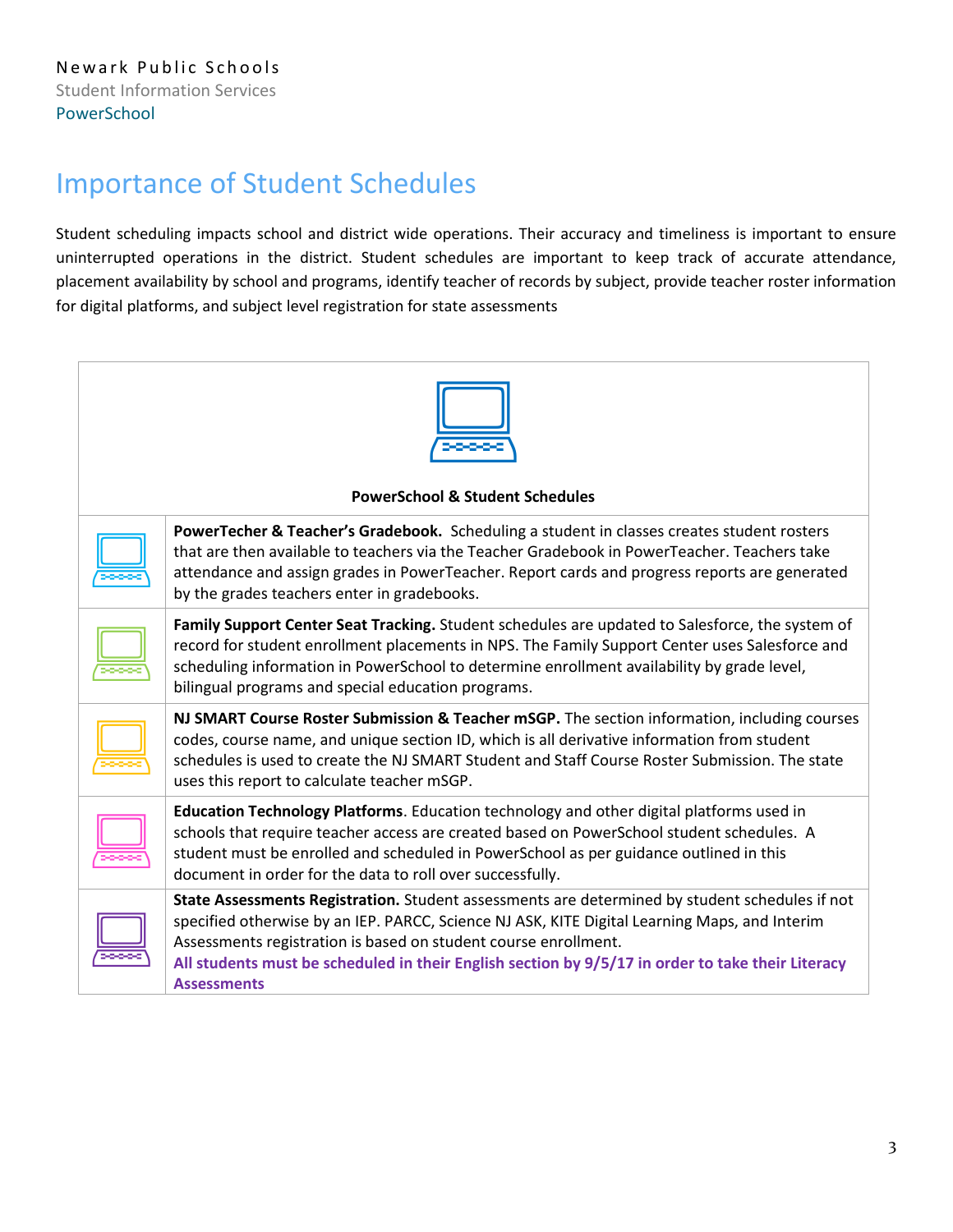## Importance of Student Schedules

Student scheduling impacts school and district wide operations. Their accuracy and timeliness is important to ensure uninterrupted operations in the district. Student schedules are important to keep track of accurate attendance, placement availability by school and programs, identify teacher of records by subject, provide teacher roster information for digital platforms, and subject level registration for state assessments

| <b>PowerSchool &amp; Student Schedules</b> |                                                                                                                                                                                                                                                                                                                                                                                               |  |  |  |
|--------------------------------------------|-----------------------------------------------------------------------------------------------------------------------------------------------------------------------------------------------------------------------------------------------------------------------------------------------------------------------------------------------------------------------------------------------|--|--|--|
|                                            |                                                                                                                                                                                                                                                                                                                                                                                               |  |  |  |
|                                            | PowerTecher & Teacher's Gradebook. Scheduling a student in classes creates student rosters<br>that are then available to teachers via the Teacher Gradebook in PowerTeacher. Teachers take<br>attendance and assign grades in PowerTeacher. Report cards and progress reports are generated<br>by the grades teachers enter in gradebooks.                                                    |  |  |  |
|                                            | Family Support Center Seat Tracking. Student schedules are updated to Salesforce, the system of<br>record for student enrollment placements in NPS. The Family Support Center uses Salesforce and<br>scheduling information in PowerSchool to determine enrollment availability by grade level,<br>bilingual programs and special education programs.                                         |  |  |  |
|                                            | NJ SMART Course Roster Submission & Teacher mSGP. The section information, including courses<br>codes, course name, and unique section ID, which is all derivative information from student<br>schedules is used to create the NJ SMART Student and Staff Course Roster Submission. The state<br>uses this report to calculate teacher mSGP.                                                  |  |  |  |
|                                            | Education Technology Platforms. Education technology and other digital platforms used in<br>schools that require teacher access are created based on PowerSchool student schedules. A<br>student must be enrolled and scheduled in PowerSchool as per guidance outlined in this<br>document in order for the data to roll over successfully.                                                  |  |  |  |
|                                            | State Assessments Registration. Student assessments are determined by student schedules if not<br>specified otherwise by an IEP. PARCC, Science NJ ASK, KITE Digital Learning Maps, and Interim<br>Assessments registration is based on student course enrollment.<br>All students must be scheduled in their English section by 9/5/17 in order to take their Literacy<br><b>Assessments</b> |  |  |  |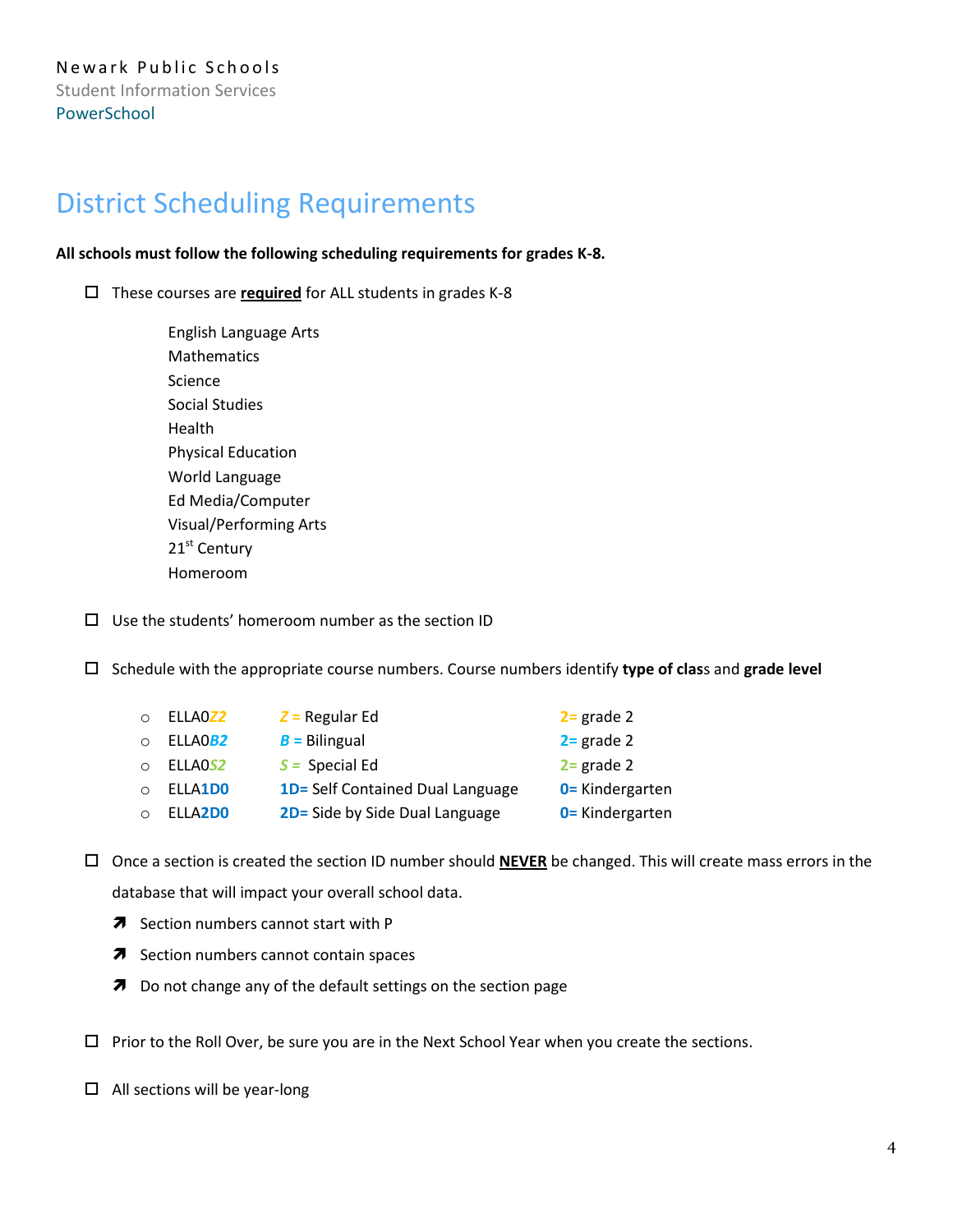## District Scheduling Requirements

#### **All schools must follow the following scheduling requirements for grades K-8.**

These courses are **required** for ALL students in grades K-8

| <b>English Language Arts</b>  |  |  |
|-------------------------------|--|--|
| Mathematics                   |  |  |
| Science                       |  |  |
| Social Studies                |  |  |
| Health                        |  |  |
| <b>Physical Education</b>     |  |  |
| World Language                |  |  |
| Ed Media/Computer             |  |  |
| <b>Visual/Performing Arts</b> |  |  |
| 21 <sup>st</sup> Century      |  |  |
| Homeroom                      |  |  |

- $\Box$  Use the students' homeroom number as the section ID
- Schedule with the appropriate course numbers. Course numbers identify **type of clas**s and **grade level**

| O ELLAOZ2 | $Z =$ Regular Ed                         | $2 =$ grade 2    |
|-----------|------------------------------------------|------------------|
| O ELLAOB2 | $B =$ Bilingual                          | $2 =$ grade 2    |
| O ELLAOS2 | $S =$ Special Ed                         | $2 =$ grade 2    |
| O ELLA1DO | <b>1D</b> = Self Contained Dual Language | 0 = Kindergarten |
| o ELLA2DO | 2D= Side by Side Dual Language           | 0= Kindergarten  |
|           |                                          |                  |

- Once a section is created the section ID number should **NEVER** be changed. This will create mass errors in the database that will impact your overall school data.
	- **7** Section numbers cannot start with P
	- **7** Section numbers cannot contain spaces
	- **7** Do not change any of the default settings on the section page
- $\Box$  Prior to the Roll Over, be sure you are in the Next School Year when you create the sections.
- $\Box$  All sections will be year-long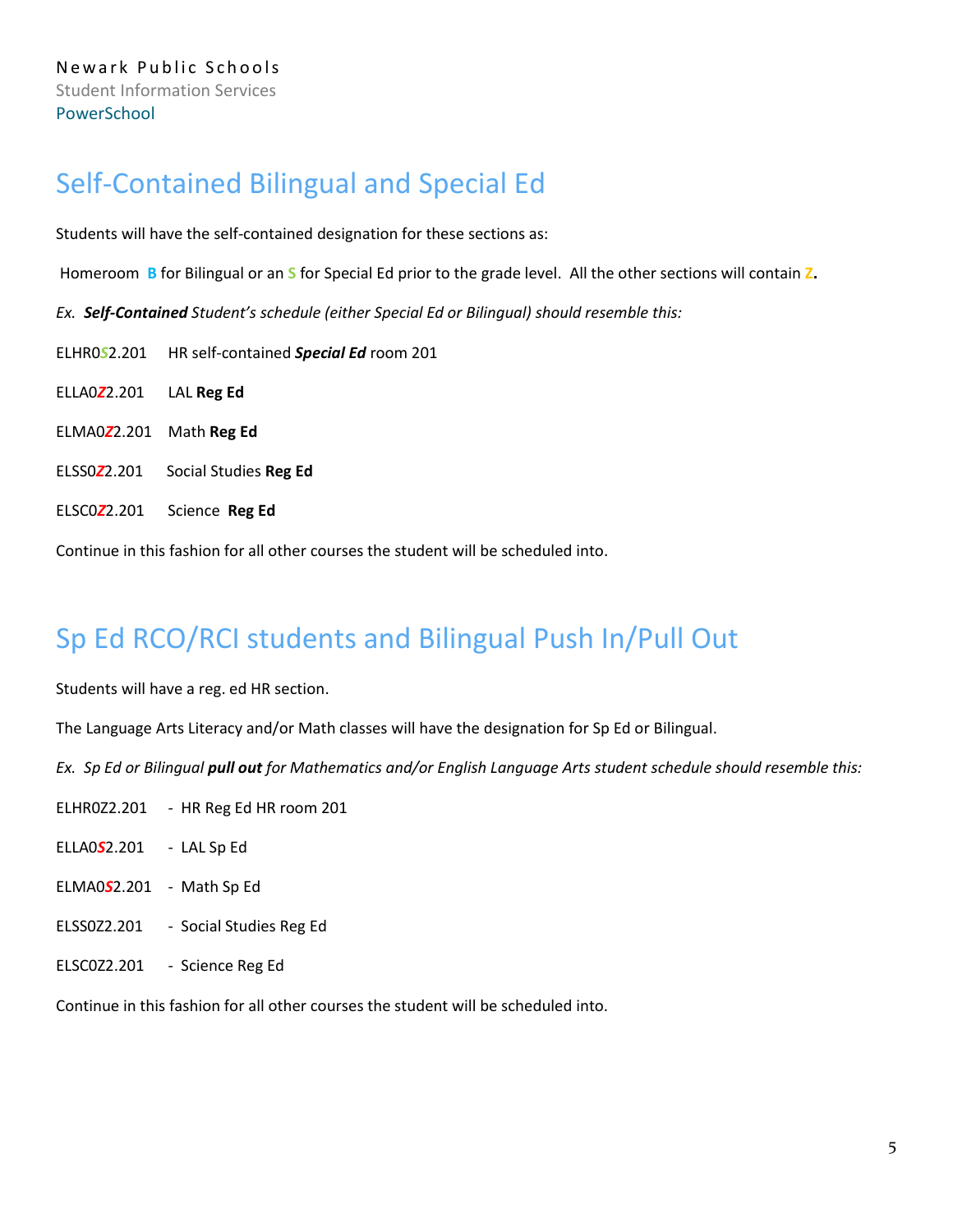## Self-Contained Bilingual and Special Ed

Students will have the self-contained designation for these sections as:

Homeroom **B** for Bilingual or an **S** for Special Ed prior to the grade level. All the other sections will contain **Z.**

*Ex. Self-Contained Student's schedule (either Special Ed or Bilingual) should resemble this:*

- ELHR0*S*2.201 HR self-contained *Special Ed* room 201
- ELLA0*Z*2.201 LAL **Reg Ed**
- ELMA0*Z*2.201 Math **Reg Ed**
- ELSS0*Z*2.201 Social Studies **Reg Ed**
- ELSC0*Z*2.201 Science **Reg Ed**

Continue in this fashion for all other courses the student will be scheduled into.

## Sp Ed RCO/RCI students and Bilingual Push In/Pull Out

Students will have a reg. ed HR section.

The Language Arts Literacy and/or Math classes will have the designation for Sp Ed or Bilingual.

*Ex. Sp Ed or Bilingual pull out for Mathematics and/or English Language Arts student schedule should resemble this:*

- ELHR0Z2.201 HR Reg Ed HR room 201
- ELLA0*S*2.201 LAL Sp Ed
- ELMA0*S*2.201 Math Sp Ed
- ELSS0Z2.201 Social Studies Reg Ed
- ELSC0Z2.201 Science Reg Ed

Continue in this fashion for all other courses the student will be scheduled into.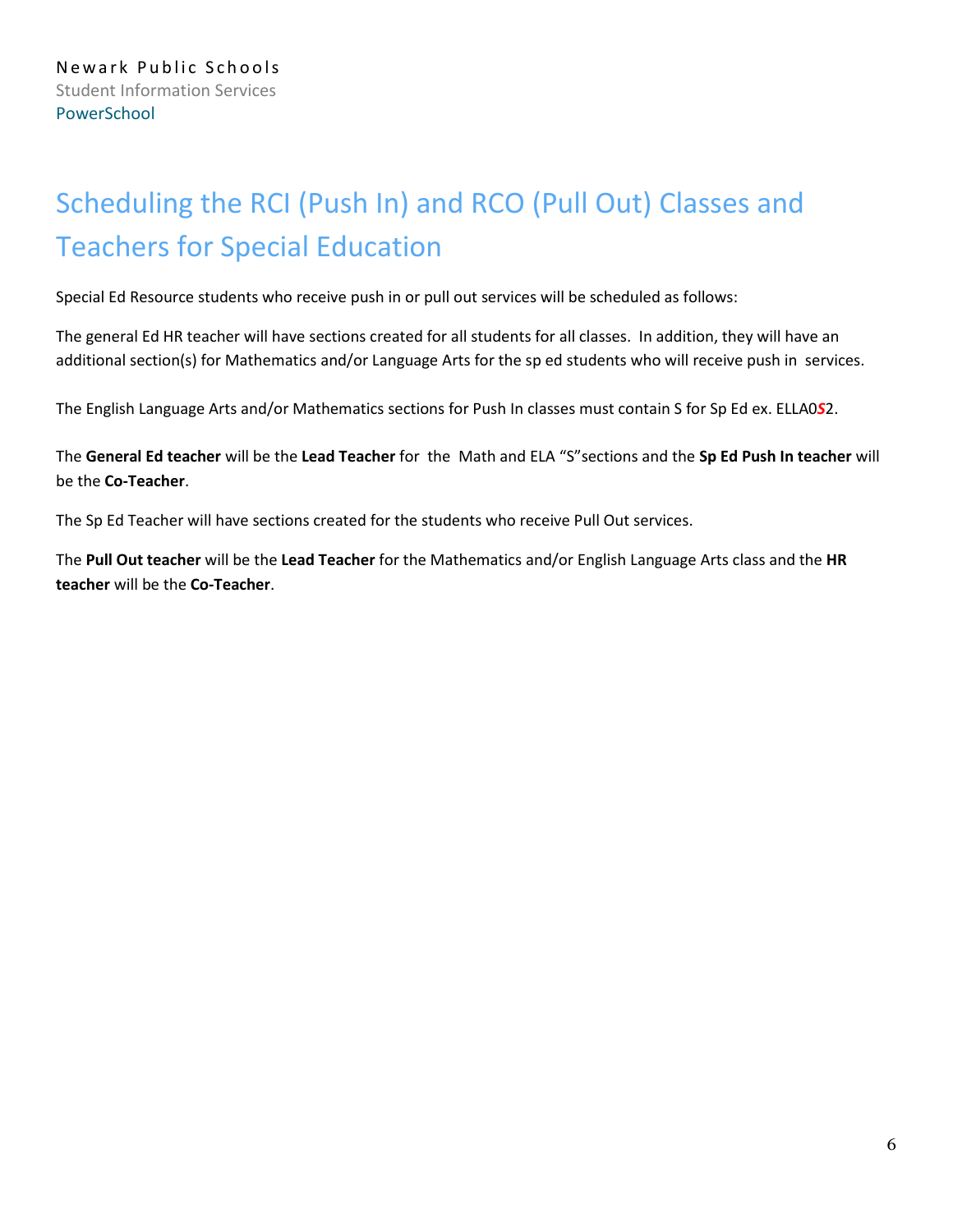## Scheduling the RCI (Push In) and RCO (Pull Out) Classes and Teachers for Special Education

Special Ed Resource students who receive push in or pull out services will be scheduled as follows:

The general Ed HR teacher will have sections created for all students for all classes. In addition, they will have an additional section(s) for Mathematics and/or Language Arts for the sp ed students who will receive push in services.

The English Language Arts and/or Mathematics sections for Push In classes must contain S for Sp Ed ex. ELLA0*S*2.

The **General Ed teacher** will be the **Lead Teacher** for the Math and ELA "S"sections and the **Sp Ed Push In teacher** will be the **Co-Teacher**.

The Sp Ed Teacher will have sections created for the students who receive Pull Out services.

The **Pull Out teacher** will be the **Lead Teacher** for the Mathematics and/or English Language Arts class and the **HR teacher** will be the **Co-Teacher**.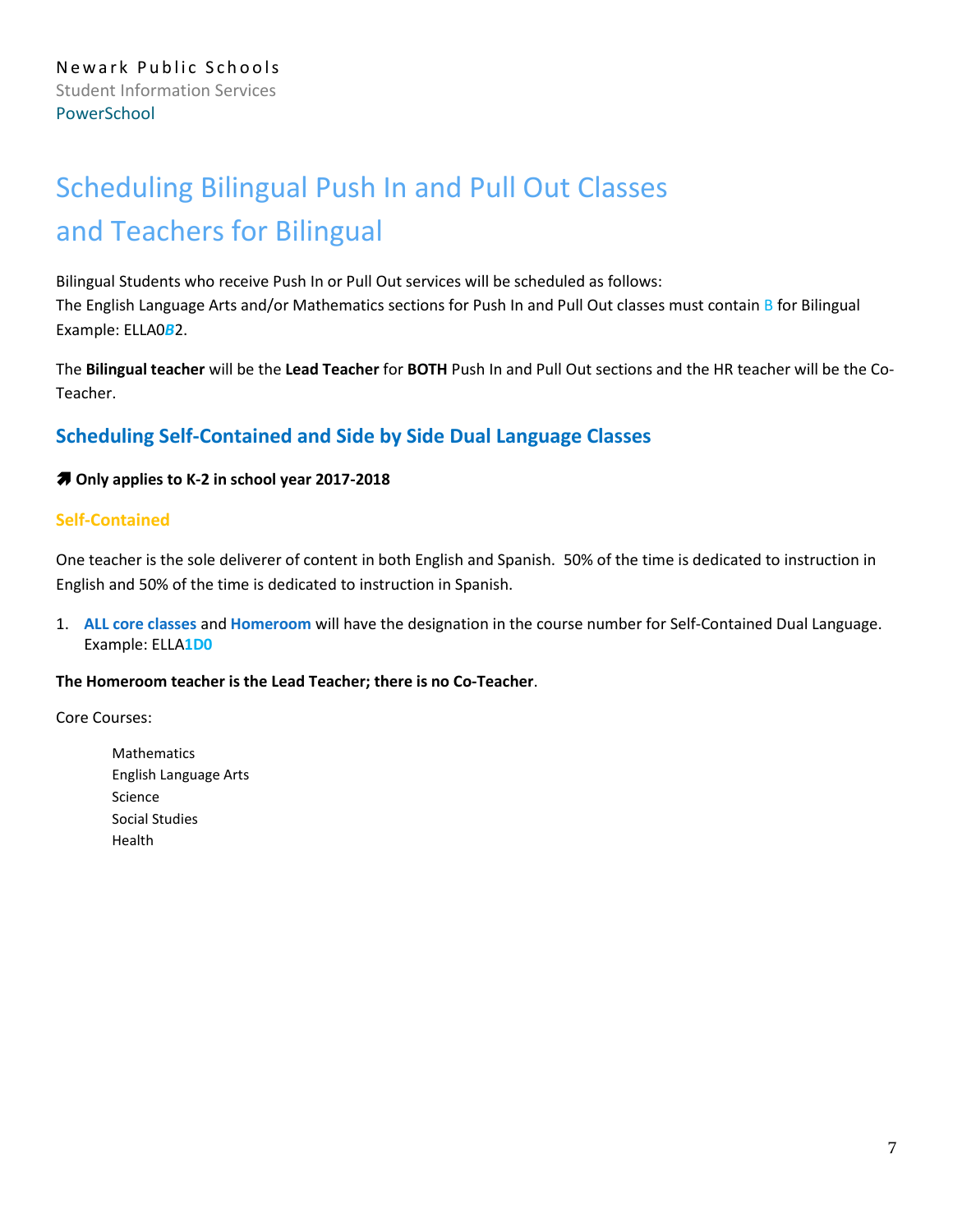## Scheduling Bilingual Push In and Pull Out Classes and Teachers for Bilingual

Bilingual Students who receive Push In or Pull Out services will be scheduled as follows: The English Language Arts and/or Mathematics sections for Push In and Pull Out classes must contain B for Bilingual Example: ELLA0*B*2.

The **Bilingual teacher** will be the **Lead Teacher** for **BOTH** Push In and Pull Out sections and the HR teacher will be the Co-Teacher.

#### **Scheduling Self-Contained and Side by Side Dual Language Classes**

#### **Only applies to K-2 in school year 2017-2018**

#### **Self-Contained**

One teacher is the sole deliverer of content in both English and Spanish. 50% of the time is dedicated to instruction in English and 50% of the time is dedicated to instruction in Spanish.

1. **ALL core classes** and **Homeroom** will have the designation in the course number for Self-Contained Dual Language. Example: ELLA**1D0**

#### **The Homeroom teacher is the Lead Teacher; there is no Co-Teacher**.

Core Courses:

Mathematics English Language Arts Science Social Studies Health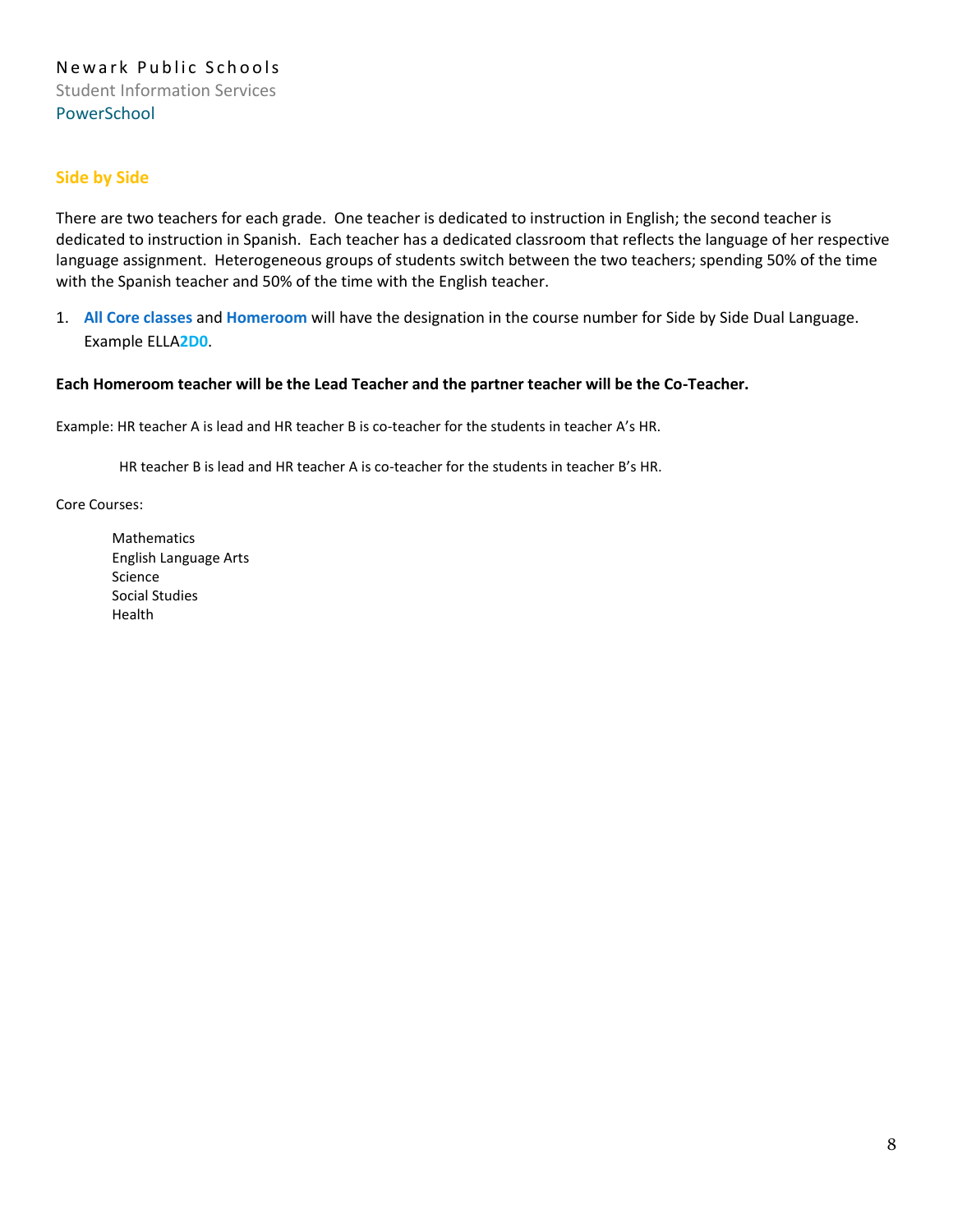#### Newark Public Schools Student Information Services PowerSchool

#### **Side by Side**

There are two teachers for each grade. One teacher is dedicated to instruction in English; the second teacher is dedicated to instruction in Spanish. Each teacher has a dedicated classroom that reflects the language of her respective language assignment. Heterogeneous groups of students switch between the two teachers; spending 50% of the time with the Spanish teacher and 50% of the time with the English teacher.

1. **All Core classes** and **Homeroom** will have the designation in the course number for Side by Side Dual Language. Example ELLA**2D0**.

#### **Each Homeroom teacher will be the Lead Teacher and the partner teacher will be the Co-Teacher.**

Example: HR teacher A is lead and HR teacher B is co-teacher for the students in teacher A's HR.

HR teacher B is lead and HR teacher A is co-teacher for the students in teacher B's HR.

Core Courses:

Mathematics English Language Arts Science Social Studies Health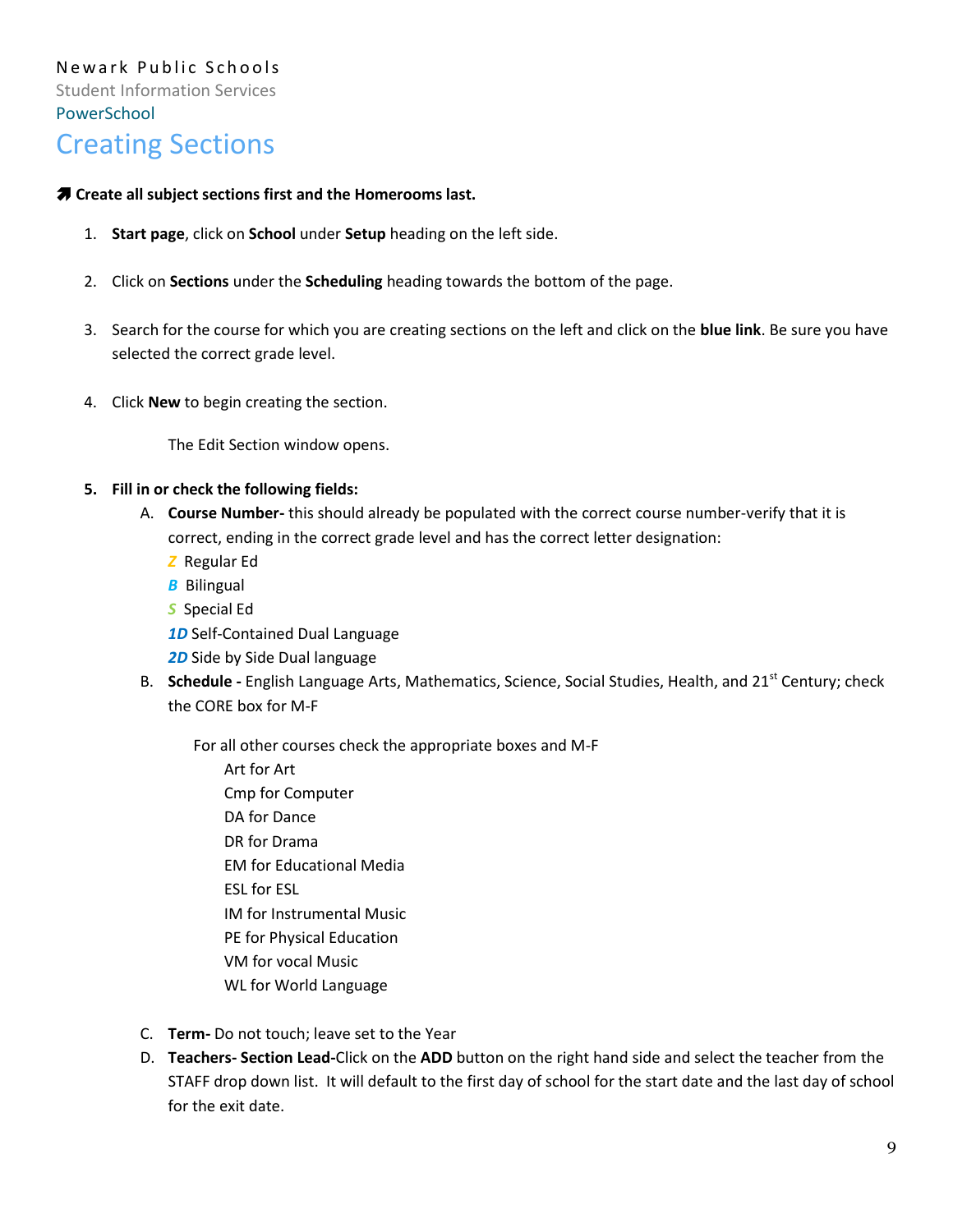## Creating Sections

#### **Create all subject sections first and the Homerooms last.**

- 1. **Start page**, click on **School** under **Setup** heading on the left side.
- 2. Click on **Sections** under the **Scheduling** heading towards the bottom of the page.
- 3. Search for the course for which you are creating sections on the left and click on the **blue link**. Be sure you have selected the correct grade level.
- 4. Click **New** to begin creating the section.

The Edit Section window opens.

- **5. Fill in or check the following fields:**
	- A. **Course Number-** this should already be populated with the correct course number-verify that it is correct, ending in the correct grade level and has the correct letter designation:
		- *Z* Regular Ed
		- *B* Bilingual
		- *S* Special Ed
		- **1D** Self-Contained Dual Language
		- **2D** Side by Side Dual language
	- B. **Schedule -** English Language Arts, Mathematics, Science, Social Studies, Health, and 21st Century; check the CORE box for M-F
		- For all other courses check the appropriate boxes and M-F Art for Art Cmp for Computer DA for Dance DR for Drama EM for Educational Media ESL for ESL IM for Instrumental Music PE for Physical Education VM for vocal Music
			- WL for World Language
	- C. **Term-** Do not touch; leave set to the Year
	- D. **Teachers- Section Lead-**Click on the **ADD** button on the right hand side and select the teacher from the STAFF drop down list. It will default to the first day of school for the start date and the last day of school for the exit date.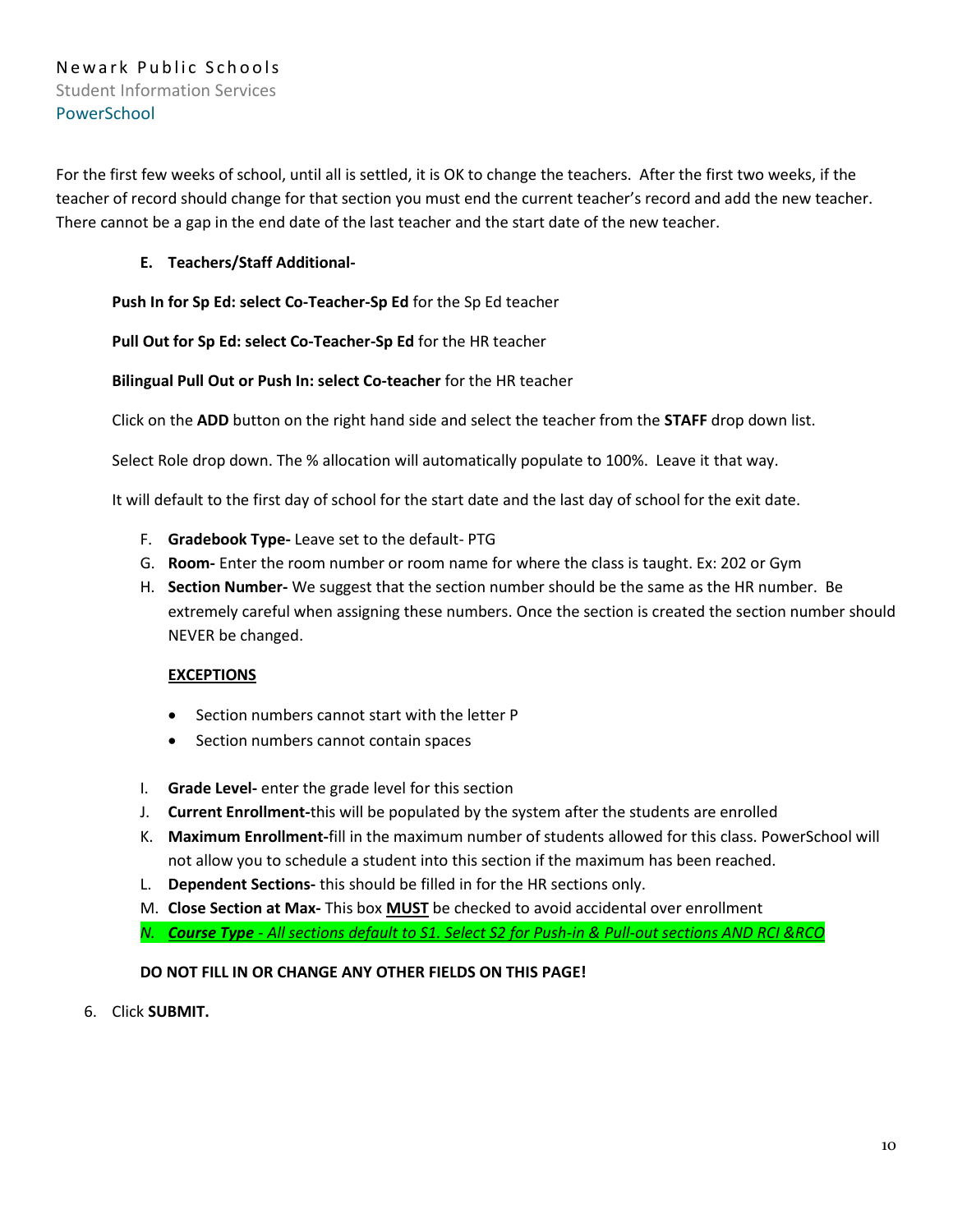For the first few weeks of school, until all is settled, it is OK to change the teachers. After the first two weeks, if the teacher of record should change for that section you must end the current teacher's record and add the new teacher. There cannot be a gap in the end date of the last teacher and the start date of the new teacher.

#### **E. Teachers/Staff Additional-**

**Push In for Sp Ed: select Co-Teacher-Sp Ed** for the Sp Ed teacher

**Pull Out for Sp Ed: select Co-Teacher-Sp Ed** for the HR teacher

**Bilingual Pull Out or Push In: select Co-teacher** for the HR teacher

Click on the **ADD** button on the right hand side and select the teacher from the **STAFF** drop down list.

Select Role drop down. The % allocation will automatically populate to 100%. Leave it that way.

It will default to the first day of school for the start date and the last day of school for the exit date.

- F. **Gradebook Type-** Leave set to the default- PTG
- G. **Room-** Enter the room number or room name for where the class is taught. Ex: 202 or Gym
- H. **Section Number-** We suggest that the section number should be the same as the HR number. Be extremely careful when assigning these numbers. Once the section is created the section number should NEVER be changed.

#### **EXCEPTIONS**

- Section numbers cannot start with the letter P
- Section numbers cannot contain spaces
- I. **Grade Level-** enter the grade level for this section
- J. **Current Enrollment***-*this will be populated by the system after the students are enrolled
- K. **Maximum Enrollment-**fill in the maximum number of students allowed for this class. PowerSchool will not allow you to schedule a student into this section if the maximum has been reached.
- L. **Dependent Sections-** this should be filled in for the HR sections only.
- M. **Close Section at Max-** This box **MUST** be checked to avoid accidental over enrollment
- *N. Course Type - All sections default to S1. Select S2 for Push-in & Pull-out sections AND RCI &RCO*

#### **DO NOT FILL IN OR CHANGE ANY OTHER FIELDS ON THIS PAGE!**

6. Click **SUBMIT.**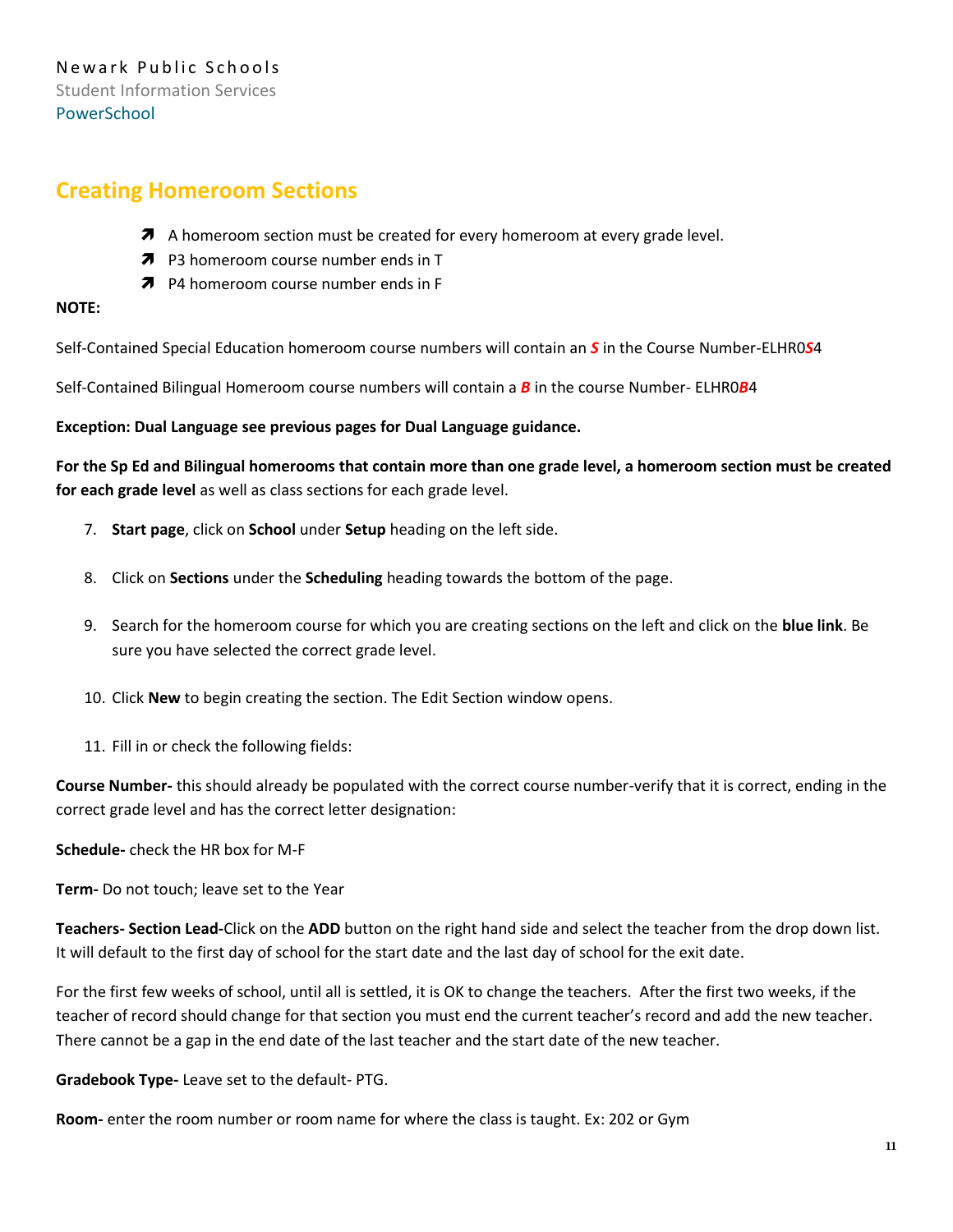### **Creating Homeroom Sections**

- A homeroom section must be created for every homeroom at every grade level.
- **7** P3 homeroom course number ends in T
- **7** P4 homeroom course number ends in F

#### **NOTE:**

Self-Contained Special Education homeroom course numbers will contain an *S* in the Course Number-ELHR0*S*4

Self-Contained Bilingual Homeroom course numbers will contain a *B* in the course Number- ELHR0*B*4

**Exception: Dual Language see previous pages for Dual Language guidance.**

**For the Sp Ed and Bilingual homerooms that contain more than one grade level, a homeroom section must be created for each grade level** as well as class sections for each grade level.

- 7. **Start page**, click on **School** under **Setup** heading on the left side.
- 8. Click on **Sections** under the **Scheduling** heading towards the bottom of the page.
- 9. Search for the homeroom course for which you are creating sections on the left and click on the **blue link**. Be sure you have selected the correct grade level.
- 10. Click **New** to begin creating the section. The Edit Section window opens.
- 11. Fill in or check the following fields:

**Course Number-** this should already be populated with the correct course number-verify that it is correct, ending in the correct grade level and has the correct letter designation:

**Schedule-** check the HR box for M-F

**Term-** Do not touch; leave set to the Year

**Teachers- Section Lead-**Click on the **ADD** button on the right hand side and select the teacher from the drop down list. It will default to the first day of school for the start date and the last day of school for the exit date.

For the first few weeks of school, until all is settled, it is OK to change the teachers. After the first two weeks, if the teacher of record should change for that section you must end the current teacher's record and add the new teacher. There cannot be a gap in the end date of the last teacher and the start date of the new teacher.

**Gradebook Type-** Leave set to the default- PTG.

**Room-** enter the room number or room name for where the class is taught. Ex: 202 or Gym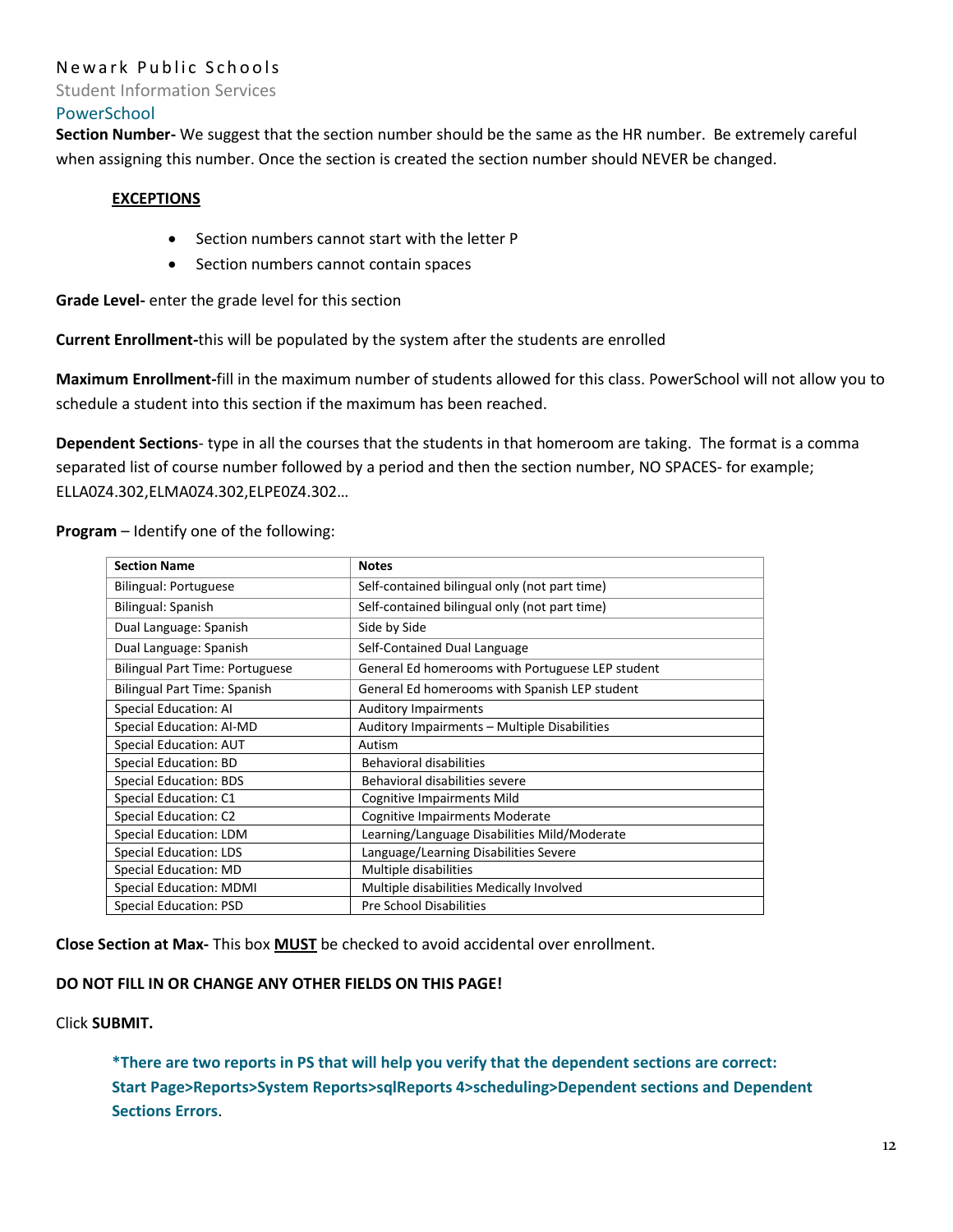#### Student Information Services PowerSchool

**Section Number-** We suggest that the section number should be the same as the HR number. Be extremely careful when assigning this number. Once the section is created the section number should NEVER be changed.

#### **EXCEPTIONS**

- Section numbers cannot start with the letter P
- Section numbers cannot contain spaces

**Grade Level-** enter the grade level for this section

**Current Enrollment***-*this will be populated by the system after the students are enrolled

**Maximum Enrollment-**fill in the maximum number of students allowed for this class. PowerSchool will not allow you to schedule a student into this section if the maximum has been reached.

**Dependent Sections**- type in all the courses that the students in that homeroom are taking. The format is a comma separated list of course number followed by a period and then the section number, NO SPACES- for example; ELLA0Z4.302,ELMA0Z4.302,ELPE0Z4.302…

#### **Program** – Identify one of the following:

| <b>Section Name</b>                    | <b>Notes</b>                                     |
|----------------------------------------|--------------------------------------------------|
| Bilingual: Portuguese                  | Self-contained bilingual only (not part time)    |
| Bilingual: Spanish                     | Self-contained bilingual only (not part time)    |
| Dual Language: Spanish                 | Side by Side                                     |
| Dual Language: Spanish                 | Self-Contained Dual Language                     |
| <b>Bilingual Part Time: Portuguese</b> | General Ed homerooms with Portuguese LEP student |
| Bilingual Part Time: Spanish           | General Ed homerooms with Spanish LEP student    |
| Special Education: AI                  | <b>Auditory Impairments</b>                      |
| <b>Special Education: AI-MD</b>        | Auditory Impairments - Multiple Disabilities     |
| <b>Special Education: AUT</b>          | Autism                                           |
| Special Education: BD                  | <b>Behavioral disabilities</b>                   |
| <b>Special Education: BDS</b>          | Behavioral disabilities severe                   |
| Special Education: C1                  | <b>Cognitive Impairments Mild</b>                |
| <b>Special Education: C2</b>           | <b>Cognitive Impairments Moderate</b>            |
| <b>Special Education: LDM</b>          | Learning/Language Disabilities Mild/Moderate     |
| <b>Special Education: LDS</b>          | Language/Learning Disabilities Severe            |
| Special Education: MD                  | Multiple disabilities                            |
| <b>Special Education: MDMI</b>         | Multiple disabilities Medically Involved         |
| Special Education: PSD                 | <b>Pre School Disabilities</b>                   |
|                                        |                                                  |

**Close Section at Max-** This box **MUST** be checked to avoid accidental over enrollment.

#### **DO NOT FILL IN OR CHANGE ANY OTHER FIELDS ON THIS PAGE!**

#### Click **SUBMIT.**

**\*There are two reports in PS that will help you verify that the dependent sections are correct: Start Page>Reports>System Reports>sqlReports 4>scheduling>Dependent sections and Dependent Sections Errors**.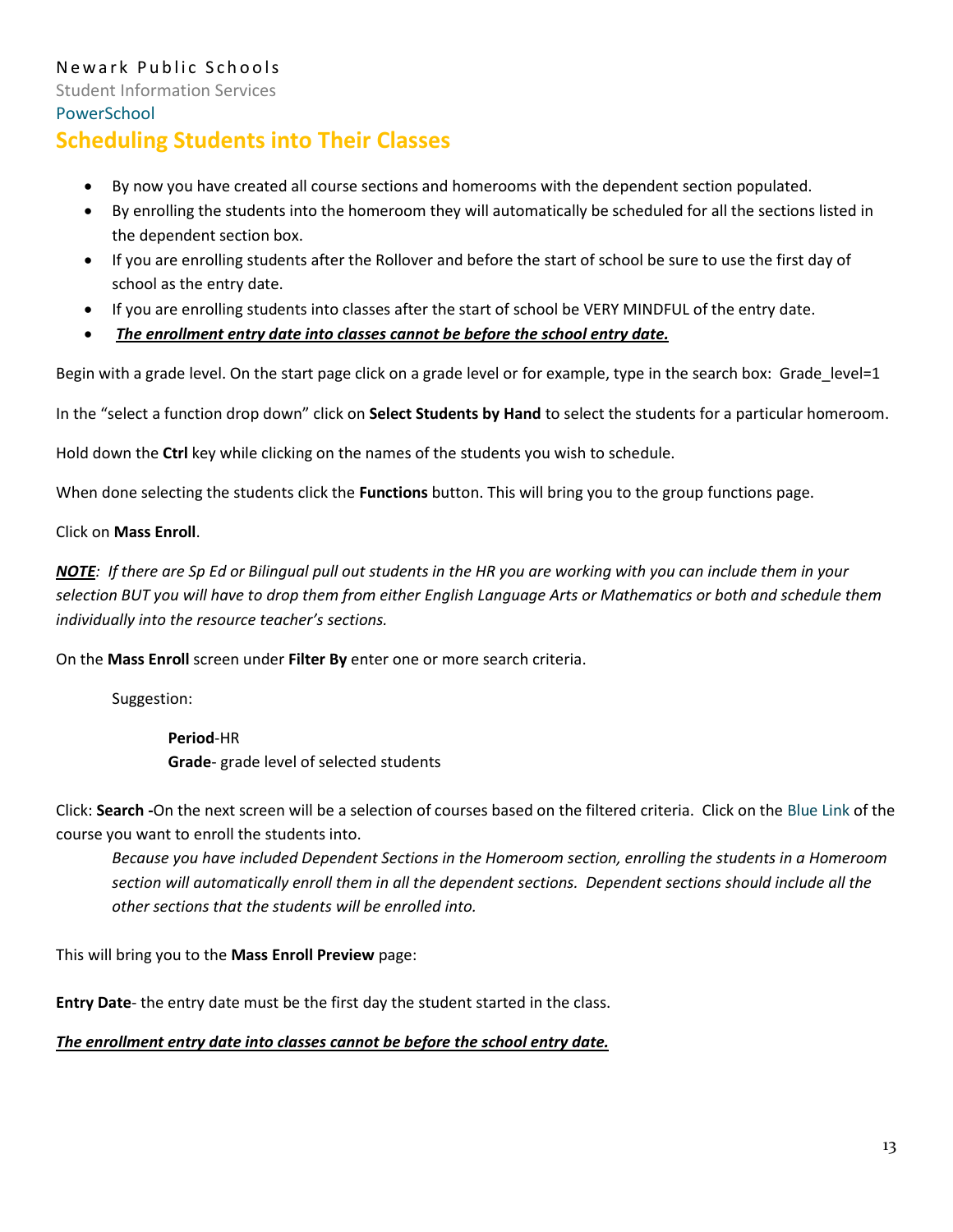#### Newark Public Schools Student Information Services PowerSchool

### **Scheduling Students into Their Classes**

- By now you have created all course sections and homerooms with the dependent section populated.
- By enrolling the students into the homeroom they will automatically be scheduled for all the sections listed in the dependent section box.
- If you are enrolling students after the Rollover and before the start of school be sure to use the first day of school as the entry date.
- If you are enrolling students into classes after the start of school be VERY MINDFUL of the entry date.
- *The enrollment entry date into classes cannot be before the school entry date.*

Begin with a grade level. On the start page click on a grade level or for example, type in the search box: Grade\_level=1

In the "select a function drop down" click on **Select Students by Hand** to select the students for a particular homeroom.

Hold down the **Ctrl** key while clicking on the names of the students you wish to schedule.

When done selecting the students click the **Functions** button. This will bring you to the group functions page.

Click on **Mass Enroll**.

*NOTE: If there are Sp Ed or Bilingual pull out students in the HR you are working with you can include them in your selection BUT you will have to drop them from either English Language Arts or Mathematics or both and schedule them individually into the resource teacher's sections.*

On the **Mass Enroll** screen under **Filter By** enter one or more search criteria.

Suggestion:

**Period**-HR **Grade**- grade level of selected students

Click: **Search -**On the next screen will be a selection of courses based on the filtered criteria. Click on the Blue Link of the course you want to enroll the students into.

*Because you have included Dependent Sections in the Homeroom section, enrolling the students in a Homeroom section will automatically enroll them in all the dependent sections. Dependent sections should include all the other sections that the students will be enrolled into.*

This will bring you to the **Mass Enroll Preview** page:

**Entry Date**- the entry date must be the first day the student started in the class.

#### *The enrollment entry date into classes cannot be before the school entry date.*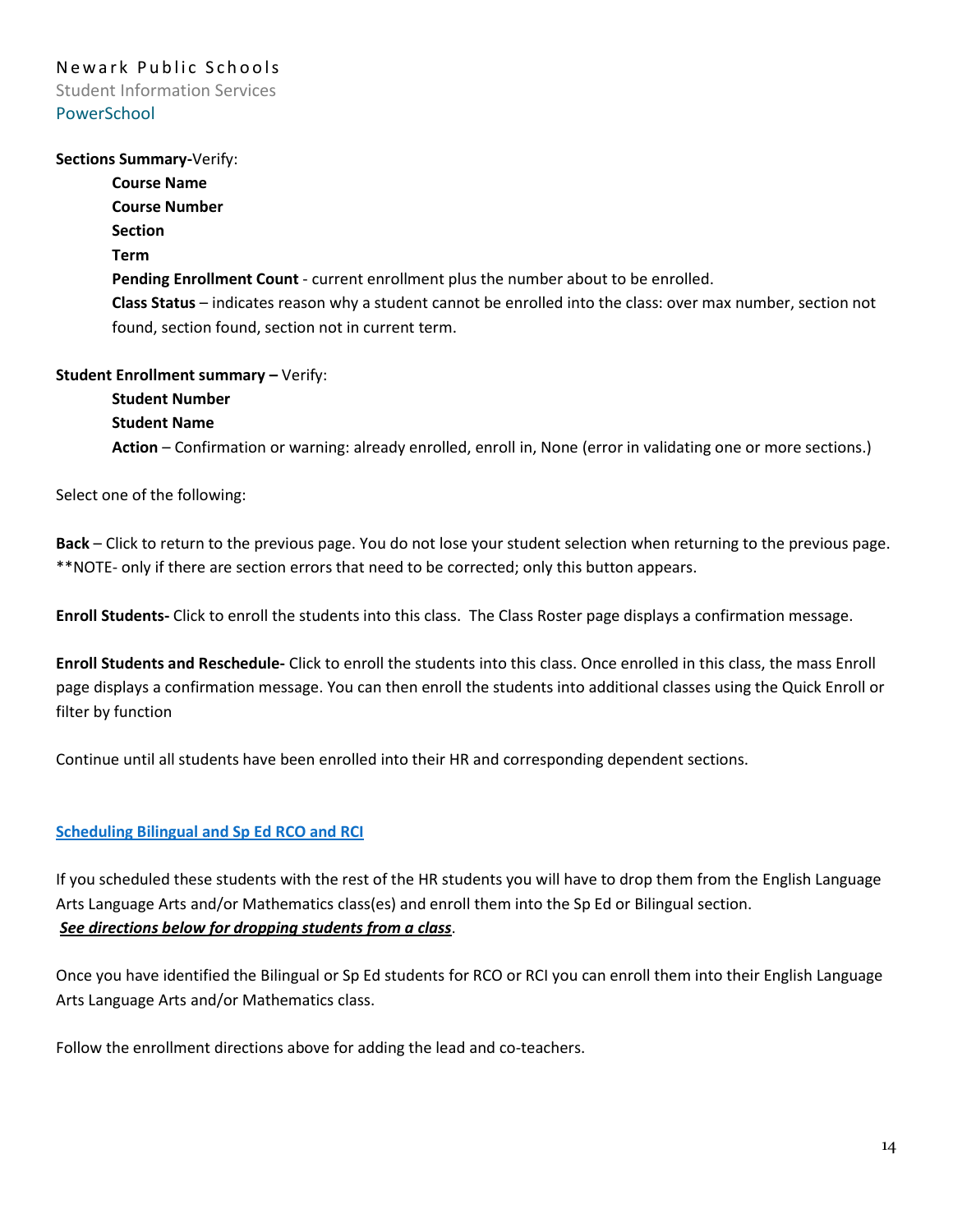Student Information Services PowerSchool

#### **Sections Summary-**Verify:

**Course Name Course Number Section Term Pending Enrollment Count** - current enrollment plus the number about to be enrolled. **Class Status** – indicates reason why a student cannot be enrolled into the class: over max number, section not found, section found, section not in current term.

#### **Student Enrollment summary –** Verify:

**Student Number Student Name Action** – Confirmation or warning: already enrolled, enroll in, None (error in validating one or more sections.)

Select one of the following:

**Back** – Click to return to the previous page. You do not lose your student selection when returning to the previous page. \*\*NOTE- only if there are section errors that need to be corrected; only this button appears.

**Enroll Students-** Click to enroll the students into this class. The Class Roster page displays a confirmation message.

**Enroll Students and Reschedule-** Click to enroll the students into this class. Once enrolled in this class, the mass Enroll page displays a confirmation message. You can then enroll the students into additional classes using the Quick Enroll or filter by function

Continue until all students have been enrolled into their HR and corresponding dependent sections.

#### **Scheduling Bilingual and Sp Ed RCO and RCI**

If you scheduled these students with the rest of the HR students you will have to drop them from the English Language Arts Language Arts and/or Mathematics class(es) and enroll them into the Sp Ed or Bilingual section. *See directions below for dropping students from a class*.

Once you have identified the Bilingual or Sp Ed students for RCO or RCI you can enroll them into their English Language Arts Language Arts and/or Mathematics class.

Follow the enrollment directions above for adding the lead and co-teachers.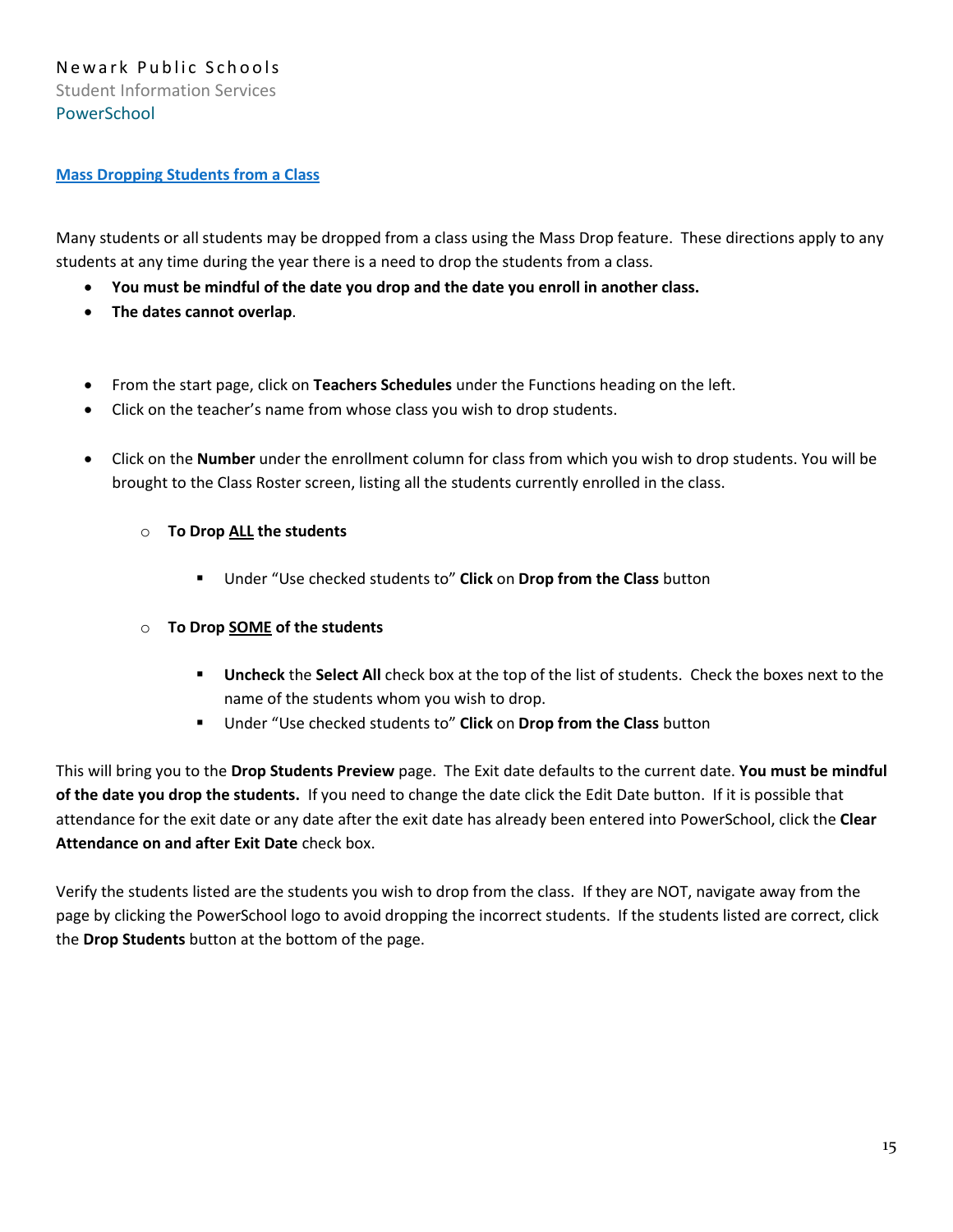#### **Mass Dropping Students from a Class**

Many students or all students may be dropped from a class using the Mass Drop feature. These directions apply to any students at any time during the year there is a need to drop the students from a class.

- **You must be mindful of the date you drop and the date you enroll in another class.**
- **The dates cannot overlap**.
- From the start page, click on **Teachers Schedules** under the Functions heading on the left.
- Click on the teacher's name from whose class you wish to drop students.
- Click on the **Number** under the enrollment column for class from which you wish to drop students. You will be brought to the Class Roster screen, listing all the students currently enrolled in the class.
	- o **To Drop ALL the students**
		- Under "Use checked students to" **Click** on **Drop from the Class** button
	- o **To Drop SOME of the students**
		- **Uncheck** the **Select All** check box at the top of the list of students. Check the boxes next to the name of the students whom you wish to drop.
		- Under "Use checked students to" **Click** on **Drop from the Class** button

This will bring you to the **Drop Students Preview** page. The Exit date defaults to the current date. **You must be mindful of the date you drop the students.** If you need to change the date click the Edit Date button. If it is possible that attendance for the exit date or any date after the exit date has already been entered into PowerSchool, click the **Clear Attendance on and after Exit Date** check box.

Verify the students listed are the students you wish to drop from the class. If they are NOT, navigate away from the page by clicking the PowerSchool logo to avoid dropping the incorrect students. If the students listed are correct, click the **Drop Students** button at the bottom of the page.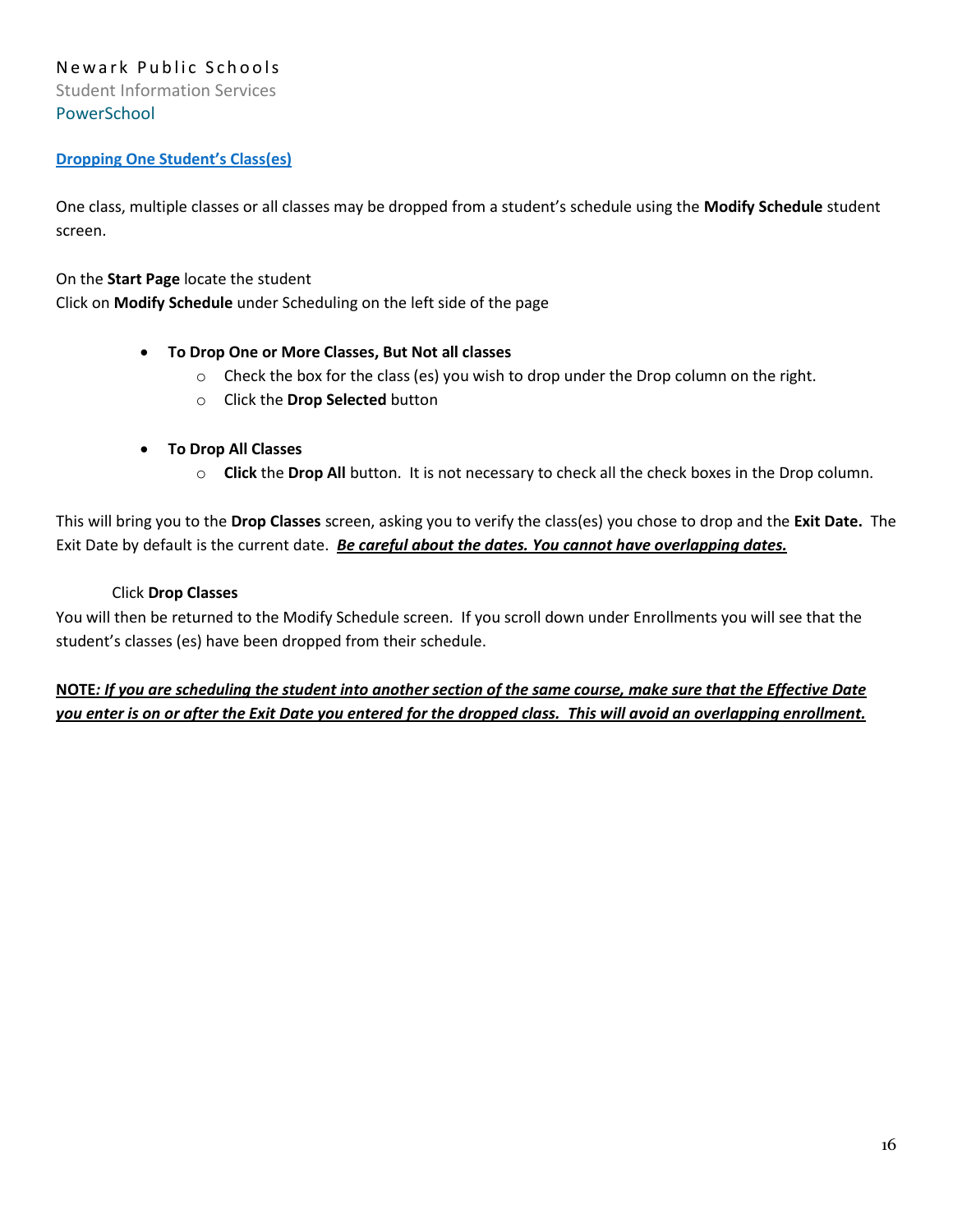Student Information Services PowerSchool

#### **Dropping One Student's Class(es)**

One class, multiple classes or all classes may be dropped from a student's schedule using the **Modify Schedule** student screen.

On the **Start Page** locate the student

Click on **Modify Schedule** under Scheduling on the left side of the page

- **To Drop One or More Classes, But Not all classes**
	- $\circ$  Check the box for the class (es) you wish to drop under the Drop column on the right.
	- o Click the **Drop Selected** button
- **To Drop All Classes**
	- o **Click** the **Drop All** button. It is not necessary to check all the check boxes in the Drop column.

This will bring you to the **Drop Classes** screen, asking you to verify the class(es) you chose to drop and the **Exit Date.** The Exit Date by default is the current date. *Be careful about the dates. You cannot have overlapping dates.*

#### Click **Drop Classes**

You will then be returned to the Modify Schedule screen. If you scroll down under Enrollments you will see that the student's classes (es) have been dropped from their schedule.

**NOTE***: If you are scheduling the student into another section of the same course, make sure that the Effective Date you enter is on or after the Exit Date you entered for the dropped class. This will avoid an overlapping enrollment.*